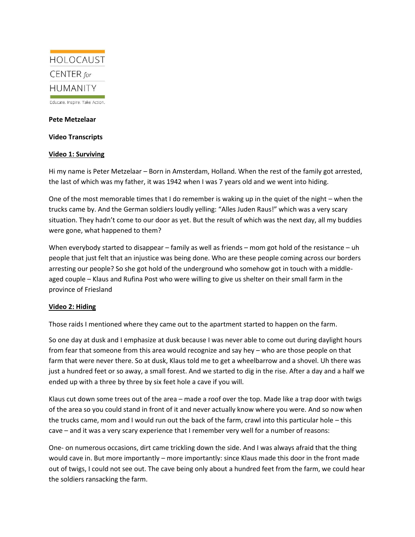

Educate. Inspire. Take Action.

## **Pete Metzelaar**

**Video Transcripts**

## **Video 1: Surviving**

Hi my name is Peter Metzelaar – Born in Amsterdam, Holland. When the rest of the family got arrested, the last of which was my father, it was 1942 when I was 7 years old and we went into hiding.

One of the most memorable times that I do remember is waking up in the quiet of the night – when the trucks came by. And the German soldiers loudly yelling: "Alles Juden Raus!" which was a very scary situation. They hadn't come to our door as yet. But the result of which was the next day, all my buddies were gone, what happened to them?

When everybody started to disappear – family as well as friends – mom got hold of the resistance – uh people that just felt that an injustice was being done. Who are these people coming across our borders arresting our people? So she got hold of the underground who somehow got in touch with a middleaged couple – Klaus and Rufina Post who were willing to give us shelter on their small farm in the province of Friesland

## **Video 2: Hiding**

Those raids I mentioned where they came out to the apartment started to happen on the farm.

So one day at dusk and I emphasize at dusk because I was never able to come out during daylight hours from fear that someone from this area would recognize and say hey – who are those people on that farm that were never there. So at dusk, Klaus told me to get a wheelbarrow and a shovel. Uh there was just a hundred feet or so away, a small forest. And we started to dig in the rise. After a day and a half we ended up with a three by three by six feet hole a cave if you will.

Klaus cut down some trees out of the area – made a roof over the top. Made like a trap door with twigs of the area so you could stand in front of it and never actually know where you were. And so now when the trucks came, mom and I would run out the back of the farm, crawl into this particular hole – this cave – and it was a very scary experience that I remember very well for a number of reasons:

One- on numerous occasions, dirt came trickling down the side. And I was always afraid that the thing would cave in. But more importantly – more importantly: since Klaus made this door in the front made out of twigs, I could not see out. The cave being only about a hundred feet from the farm, we could hear the soldiers ransacking the farm.